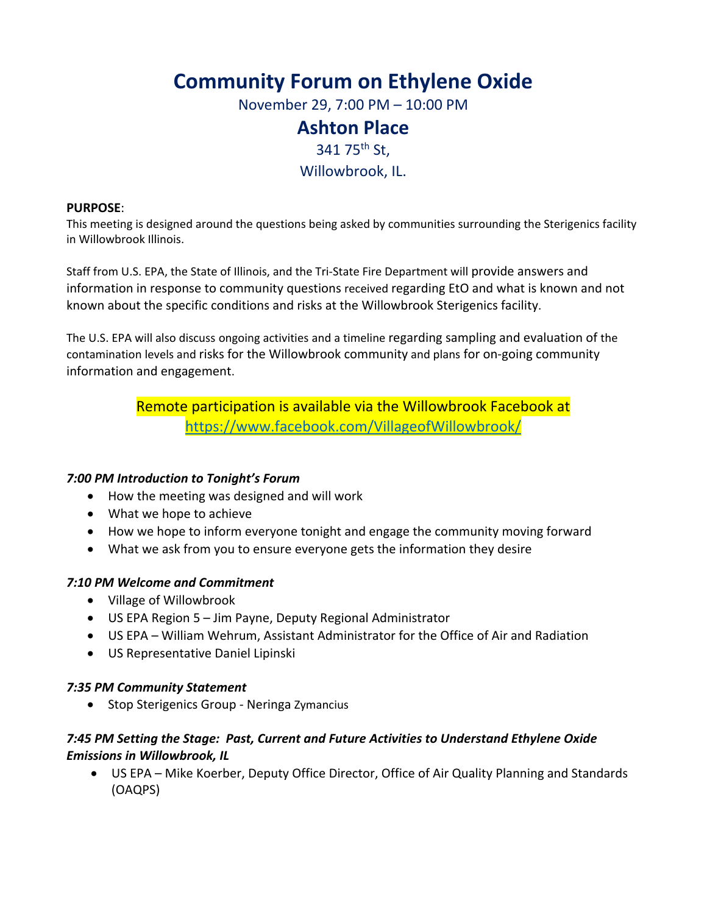# **Community Forum on Ethylene Oxide**

November 29, 7:00 PM – 10:00 PM

# **Ashton Place**

341 75<sup>th</sup> St,

## Willowbrook, IL.

#### **PURPOSE**:

This meeting is designed around the questions being asked by communities surrounding the Sterigenics facility in Willowbrook Illinois.

Staff from U.S. EPA, the State of Illinois, and the Tri‐State Fire Department will provide answers and information in response to community questions received regarding EtO and what is known and not known about the specific conditions and risks at the Willowbrook Sterigenics facility.

The U.S. EPA will also discuss ongoing activities and a timeline regarding sampling and evaluation of the contamination levels and risks for the Willowbrook community and plans for on‐going community information and engagement.

> Remote participation is available via the Willowbrook Facebook at https://www.facebook.com/VillageofWillowbrook/

### *7:00 PM Introduction to Tonight's Forum*

- How the meeting was designed and will work
- What we hope to achieve
- How we hope to inform everyone tonight and engage the community moving forward
- What we ask from you to ensure everyone gets the information they desire

### *7:10 PM Welcome and Commitment*

- Village of Willowbrook
- US EPA Region 5 Jim Payne, Deputy Regional Administrator
- US EPA William Wehrum, Assistant Administrator for the Office of Air and Radiation
- US Representative Daniel Lipinski

### *7:35 PM Community Statement*

● Stop Sterigenics Group - Neringa Zymancius

## *7:45 PM Setting the Stage: Past, Current and Future Activities to Understand Ethylene Oxide Emissions in Willowbrook, IL*

 US EPA – Mike Koerber, Deputy Office Director, Office of Air Quality Planning and Standards (OAQPS)